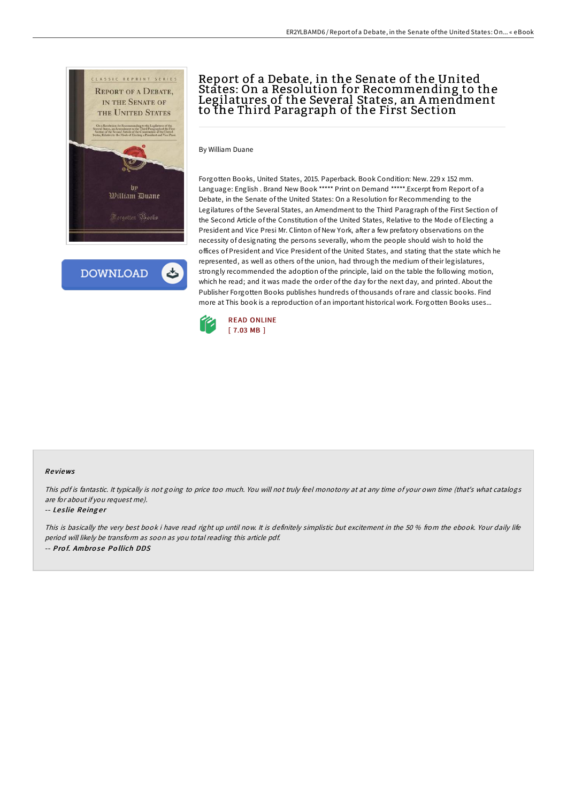

**DOWNLOAD** 

# Report of a Debate, in the Senate of the United States: On a Resolution for Recommending to the Legilatures of the Several States, an Amendment to the Third Paragraph of the First Section

By William Duane

Forgotten Books, United States, 2015. Paperback. Book Condition: New. 229 x 152 mm. Language: English . Brand New Book \*\*\*\*\* Print on Demand \*\*\*\*\*.Excerpt from Report of a Debate, in the Senate of the United States: On a Resolution for Recommending to the Legilatures of the Several States, an Amendment to the Third Paragraph of the First Section of the Second Article of the Constitution of the United States, Relative to the Mode of Electing a President and Vice Presi Mr. Clinton of New York, after a few prefatory observations on the necessity of designating the persons severally, whom the people should wish to hold the offices of President and Vice President of the United States, and stating that the state which he represented, as well as others of the union, had through the medium of their legislatures, strongly recommended the adoption of the principle, laid on the table the following motion, which he read; and it was made the order of the day for the next day, and printed. About the Publisher Forgotten Books publishes hundreds of thousands ofrare and classic books. Find more at This book is a reproduction of an important historical work. Forgotten Books uses...



### Re views

This pdf is fantastic. It typically is not going to price too much. You will not truly feel monotony at at any time of your own time (that's what catalogs are for about if you request me).

#### -- Leslie Reinger

This is basically the very best book i have read right up until now. It is definitely simplistic but excitement in the 50 % from the ebook. Your daily life period will likely be transform as soon as you total reading this article pdf. -- Pro f. Ambro se Po llich DDS